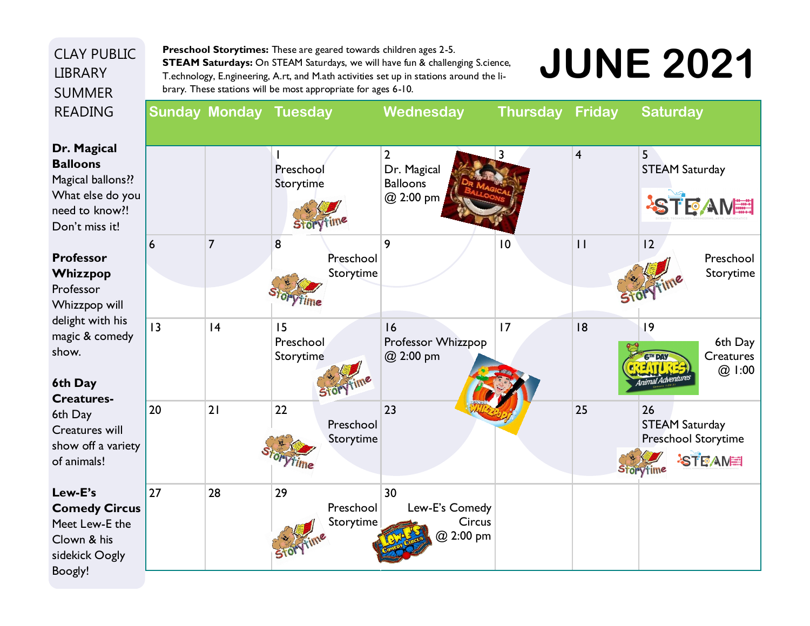